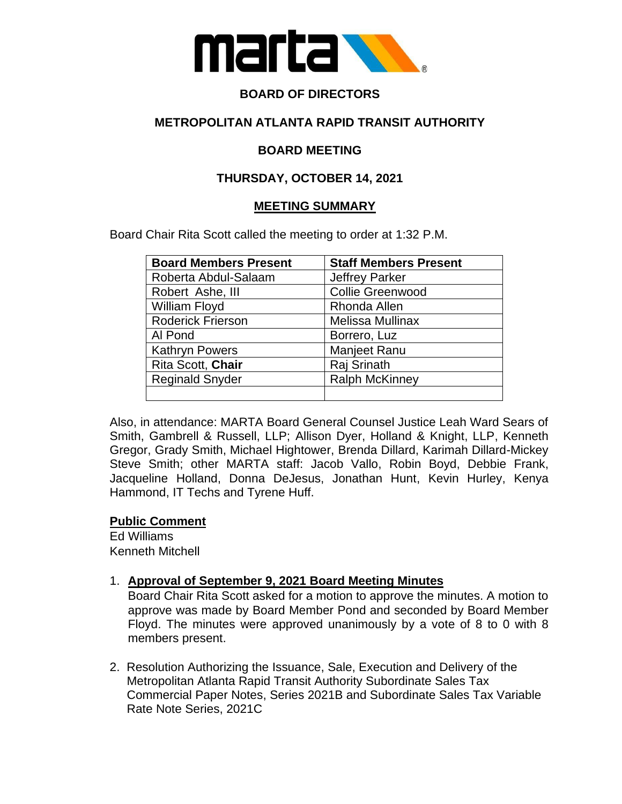

# **BOARD OF DIRECTORS**

## **METROPOLITAN ATLANTA RAPID TRANSIT AUTHORITY**

### **BOARD MEETING**

## **THURSDAY, OCTOBER 14, 2021**

### **MEETING SUMMARY**

Board Chair Rita Scott called the meeting to order at 1:32 P.M.

| <b>Board Members Present</b> | <b>Staff Members Present</b> |
|------------------------------|------------------------------|
| Roberta Abdul-Salaam         | <b>Jeffrey Parker</b>        |
| Robert Ashe, III             | <b>Collie Greenwood</b>      |
| William Floyd                | Rhonda Allen                 |
| <b>Roderick Frierson</b>     | <b>Melissa Mullinax</b>      |
| Al Pond                      | Borrero, Luz                 |
| <b>Kathryn Powers</b>        | <b>Manjeet Ranu</b>          |
| Rita Scott, Chair            | Raj Srinath                  |
| <b>Reginald Snyder</b>       | <b>Ralph McKinney</b>        |
|                              |                              |

Also, in attendance: MARTA Board General Counsel Justice Leah Ward Sears of Smith, Gambrell & Russell, LLP; Allison Dyer, Holland & Knight, LLP, Kenneth Gregor, Grady Smith, Michael Hightower, Brenda Dillard, Karimah Dillard-Mickey Steve Smith; other MARTA staff: Jacob Vallo, Robin Boyd, Debbie Frank, Jacqueline Holland, Donna DeJesus, Jonathan Hunt, Kevin Hurley, Kenya Hammond, IT Techs and Tyrene Huff.

#### **Public Comment**

Ed Williams Kenneth Mitchell

## 1. **Approval of September 9, 2021 Board Meeting Minutes**

Board Chair Rita Scott asked for a motion to approve the minutes. A motion to approve was made by Board Member Pond and seconded by Board Member Floyd. The minutes were approved unanimously by a vote of 8 to 0 with 8 members present.

2. Resolution Authorizing the Issuance, Sale, Execution and Delivery of the Metropolitan Atlanta Rapid Transit Authority Subordinate Sales Tax Commercial Paper Notes, Series 2021B and Subordinate Sales Tax Variable Rate Note Series, 2021C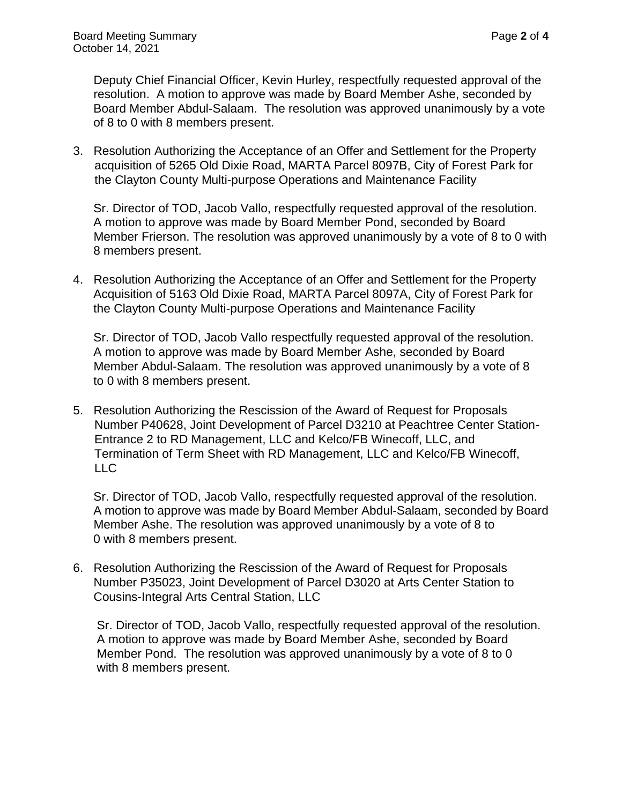Deputy Chief Financial Officer, Kevin Hurley, respectfully requested approval of the resolution. A motion to approve was made by Board Member Ashe, seconded by Board Member Abdul-Salaam. The resolution was approved unanimously by a vote of 8 to 0 with 8 members present.

3. Resolution Authorizing the Acceptance of an Offer and Settlement for the Property acquisition of 5265 Old Dixie Road, MARTA Parcel 8097B, City of Forest Park for the Clayton County Multi-purpose Operations and Maintenance Facility

 Sr. Director of TOD, Jacob Vallo, respectfully requested approval of the resolution. A motion to approve was made by Board Member Pond, seconded by Board Member Frierson. The resolution was approved unanimously by a vote of 8 to 0 with 8 members present.

4. Resolution Authorizing the Acceptance of an Offer and Settlement for the Property Acquisition of 5163 Old Dixie Road, MARTA Parcel 8097A, City of Forest Park for the Clayton County Multi-purpose Operations and Maintenance Facility

 Sr. Director of TOD, Jacob Vallo respectfully requested approval of the resolution. A motion to approve was made by Board Member Ashe, seconded by Board Member Abdul-Salaam. The resolution was approved unanimously by a vote of 8 to 0 with 8 members present.

5. Resolution Authorizing the Rescission of the Award of Request for Proposals Number P40628, Joint Development of Parcel D3210 at Peachtree Center Station- Entrance 2 to RD Management, LLC and Kelco/FB Winecoff, LLC, and Termination of Term Sheet with RD Management, LLC and Kelco/FB Winecoff, LLC

 Sr. Director of TOD, Jacob Vallo, respectfully requested approval of the resolution. A motion to approve was made by Board Member Abdul-Salaam, seconded by Board Member Ashe. The resolution was approved unanimously by a vote of 8 to 0 with 8 members present.

6. Resolution Authorizing the Rescission of the Award of Request for Proposals Number P35023, Joint Development of Parcel D3020 at Arts Center Station to Cousins-Integral Arts Central Station, LLC

 Sr. Director of TOD, Jacob Vallo, respectfully requested approval of the resolution. A motion to approve was made by Board Member Ashe, seconded by Board Member Pond. The resolution was approved unanimously by a vote of 8 to 0 with 8 members present.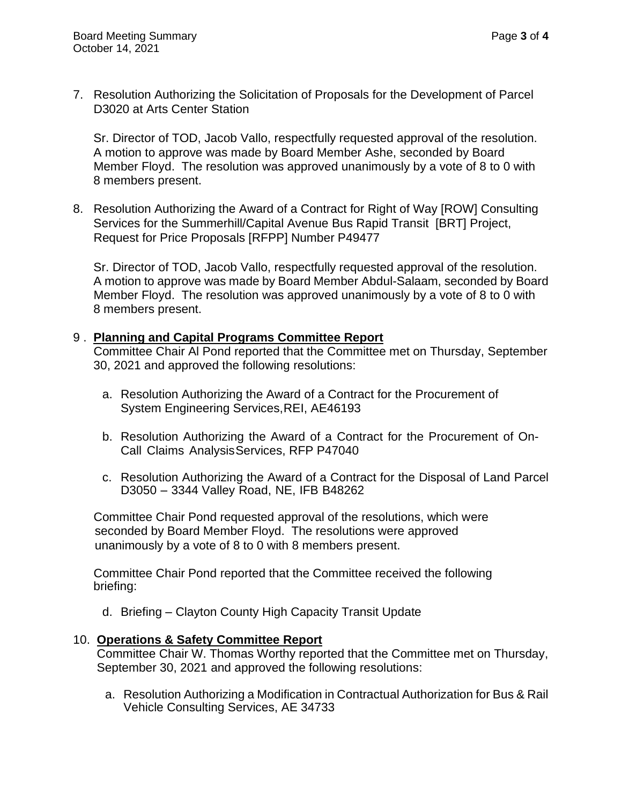7. Resolution Authorizing the Solicitation of Proposals for the Development of Parcel D3020 at Arts Center Station

 Sr. Director of TOD, Jacob Vallo, respectfully requested approval of the resolution. A motion to approve was made by Board Member Ashe, seconded by Board Member Floyd. The resolution was approved unanimously by a vote of 8 to 0 with 8 members present.

8. Resolution Authorizing the Award of a Contract for Right of Way [ROW] Consulting Services for the Summerhill/Capital Avenue Bus Rapid Transit [BRT] Project, Request for Price Proposals [RFPP] Number P49477

 Sr. Director of TOD, Jacob Vallo, respectfully requested approval of the resolution. A motion to approve was made by Board Member Abdul-Salaam, seconded by Board Member Floyd. The resolution was approved unanimously by a vote of 8 to 0 with 8 members present.

### 9 . **Planning and Capital Programs Committee Report**

 Committee Chair Al Pond reported that the Committee met on Thursday, September 30, 2021 and approved the following resolutions:

- a. Resolution Authorizing the Award of a Contract for the Procurement of System Engineering Services,REI, AE46193
- b. Resolution Authorizing the Award of a Contract for the Procurement of On-Call Claims Analysis Services, RFP P47040
- c. Resolution Authorizing the Award of a Contract for the Disposal of Land Parcel D3050 – 3344 Valley Road, NE, IFB B48262

 Committee Chair Pond requested approval of the resolutions, which were seconded by Board Member Floyd. The resolutions were approved unanimously by a vote of 8 to 0 with 8 members present.

 Committee Chair Pond reported that the Committee received the following briefing:

d. Briefing – Clayton County High Capacity Transit Update

## 10. **Operations & Safety Committee Report**

Committee Chair W. Thomas Worthy reported that the Committee met on Thursday, September 30, 2021 and approved the following resolutions:

a. Resolution Authorizing a Modification in Contractual Authorization for Bus & Rail Vehicle Consulting Services, AE 34733